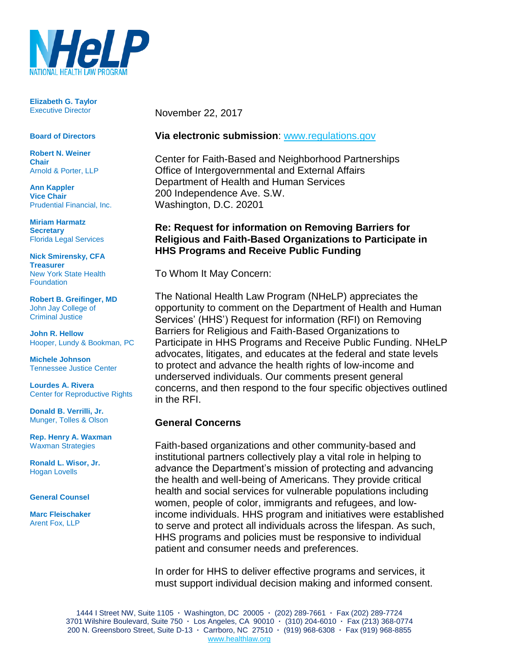

**Elizabeth G. Taylor** Executive Director

#### **Board of Directors**

**Robert N. Weiner Chair** Arnold & Porter, LLP

**Ann Kappler Vice Chair** Prudential Financial, Inc.

**Miriam Harmatz Secretary** Florida Legal Services

**Nick Smirensky, CFA Treasurer** New York State Health **Foundation** 

**Robert B. Greifinger, MD** John Jay College of Criminal Justice

**John R. Hellow** Hooper, Lundy & Bookman, PC

**Michele Johnson** Tennessee Justice Center

**Lourdes A. Rivera** Center for Reproductive Rights

**Donald B. Verrilli, Jr.**  Munger, Tolles & Olson

**Rep. Henry A. Waxman** Waxman Strategies

**Ronald L. Wisor, Jr.** Hogan Lovells

#### **General Counsel**

**Marc Fleischaker** Arent Fox, LLP

November 22, 2017

#### **Via electronic submission**: [www.regulations.gov](http://www.regulations.gov/)

Center for Faith-Based and Neighborhood Partnerships Office of Intergovernmental and External Affairs Department of Health and Human Services 200 Independence Ave. S.W. Washington, D.C. 20201

#### **Re: Request for information on Removing Barriers for Religious and Faith-Based Organizations to Participate in HHS Programs and Receive Public Funding**

To Whom It May Concern:

The National Health Law Program (NHeLP) appreciates the opportunity to comment on the Department of Health and Human Services' (HHS') Request for information (RFI) on Removing Barriers for Religious and Faith-Based Organizations to Participate in HHS Programs and Receive Public Funding. NHeLP advocates, litigates, and educates at the federal and state levels to protect and advance the health rights of low-income and underserved individuals. Our comments present general concerns, and then respond to the four specific objectives outlined in the RFI.

#### **General Concerns**

Faith-based organizations and other community-based and institutional partners collectively play a vital role in helping to advance the Department's mission of protecting and advancing the health and well-being of Americans. They provide critical health and social services for vulnerable populations including women, people of color, immigrants and refugees, and lowincome individuals. HHS program and initiatives were established to serve and protect all individuals across the lifespan. As such, HHS programs and policies must be responsive to individual patient and consumer needs and preferences.

In order for HHS to deliver effective programs and services, it must support individual decision making and informed consent.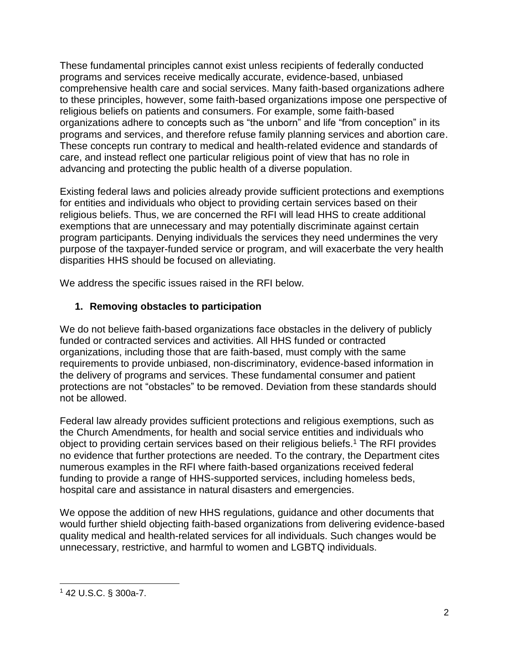These fundamental principles cannot exist unless recipients of federally conducted programs and services receive medically accurate, evidence-based, unbiased comprehensive health care and social services. Many faith-based organizations adhere to these principles, however, some faith-based organizations impose one perspective of religious beliefs on patients and consumers. For example, some faith-based organizations adhere to concepts such as "the unborn" and life "from conception" in its programs and services, and therefore refuse family planning services and abortion care. These concepts run contrary to medical and health-related evidence and standards of care, and instead reflect one particular religious point of view that has no role in advancing and protecting the public health of a diverse population.

Existing federal laws and policies already provide sufficient protections and exemptions for entities and individuals who object to providing certain services based on their religious beliefs. Thus, we are concerned the RFI will lead HHS to create additional exemptions that are unnecessary and may potentially discriminate against certain program participants. Denying individuals the services they need undermines the very purpose of the taxpayer-funded service or program, and will exacerbate the very health disparities HHS should be focused on alleviating.

We address the specific issues raised in the RFI below.

# **1. Removing obstacles to participation**

We do not believe faith-based organizations face obstacles in the delivery of publicly funded or contracted services and activities. All HHS funded or contracted organizations, including those that are faith-based, must comply with the same requirements to provide unbiased, non-discriminatory, evidence-based information in the delivery of programs and services. These fundamental consumer and patient protections are not "obstacles" to be removed. Deviation from these standards should not be allowed.

Federal law already provides sufficient protections and religious exemptions, such as the Church Amendments, for health and social service entities and individuals who object to providing certain services based on their religious beliefs.<sup>1</sup> The RFI provides no evidence that further protections are needed. To the contrary, the Department cites numerous examples in the RFI where faith-based organizations received federal funding to provide a range of HHS-supported services, including homeless beds, hospital care and assistance in natural disasters and emergencies.

We oppose the addition of new HHS regulations, guidance and other documents that would further shield objecting faith-based organizations from delivering evidence-based quality medical and health-related services for all individuals. Such changes would be unnecessary, restrictive, and harmful to women and LGBTQ individuals.

  $142$  U.S.C. § 300a-7.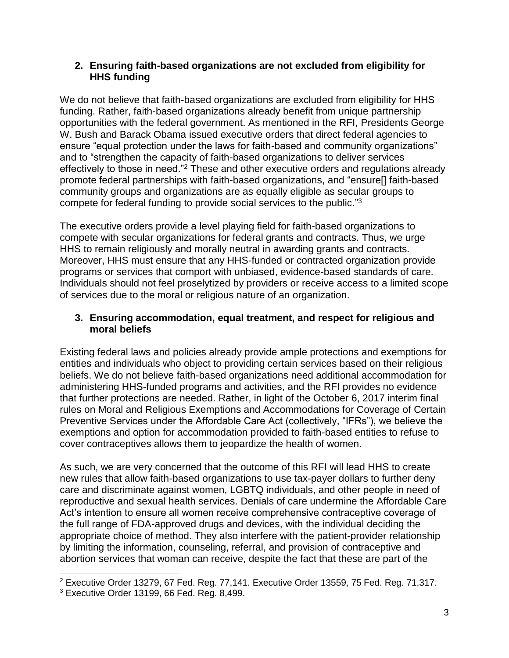### **2. Ensuring faith-based organizations are not excluded from eligibility for HHS funding**

We do not believe that faith-based organizations are excluded from eligibility for HHS funding. Rather, faith-based organizations already benefit from unique partnership opportunities with the federal government. As mentioned in the RFI, Presidents George W. Bush and Barack Obama issued executive orders that direct federal agencies to ensure "equal protection under the laws for faith-based and community organizations" and to "strengthen the capacity of faith-based organizations to deliver services effectively to those in need."<sup>2</sup> These and other executive orders and regulations already promote federal partnerships with faith-based organizations, and "ensure[] faith-based community groups and organizations are as equally eligible as secular groups to compete for federal funding to provide social services to the public." 3

The executive orders provide a level playing field for faith-based organizations to compete with secular organizations for federal grants and contracts. Thus, we urge HHS to remain religiously and morally neutral in awarding grants and contracts. Moreover, HHS must ensure that any HHS-funded or contracted organization provide programs or services that comport with unbiased, evidence-based standards of care. Individuals should not feel proselytized by providers or receive access to a limited scope of services due to the moral or religious nature of an organization.

## **3. Ensuring accommodation, equal treatment, and respect for religious and moral beliefs**

Existing federal laws and policies already provide ample protections and exemptions for entities and individuals who object to providing certain services based on their religious beliefs. We do not believe faith-based organizations need additional accommodation for administering HHS-funded programs and activities, and the RFI provides no evidence that further protections are needed. Rather, in light of the October 6, 2017 interim final rules on Moral and Religious Exemptions and Accommodations for Coverage of Certain Preventive Services under the Affordable Care Act (collectively, "IFRs"), we believe the exemptions and option for accommodation provided to faith-based entities to refuse to cover contraceptives allows them to jeopardize the health of women.

As such, we are very concerned that the outcome of this RFI will lead HHS to create new rules that allow faith-based organizations to use tax-payer dollars to further deny care and discriminate against women, LGBTQ individuals, and other people in need of reproductive and sexual health services. Denials of care undermine the Affordable Care Act's intention to ensure all women receive comprehensive contraceptive coverage of the full range of FDA-approved drugs and devices, with the individual deciding the appropriate choice of method. They also interfere with the patient-provider relationship by limiting the information, counseling, referral, and provision of contraceptive and abortion services that woman can receive, despite the fact that these are part of the

 $2$  Executive Order 13279, 67 Fed. Reg. 77,141. Executive Order 13559, 75 Fed. Reg. 71,317.

 $3$  Executive Order 13199, 66 Fed. Reg. 8,499.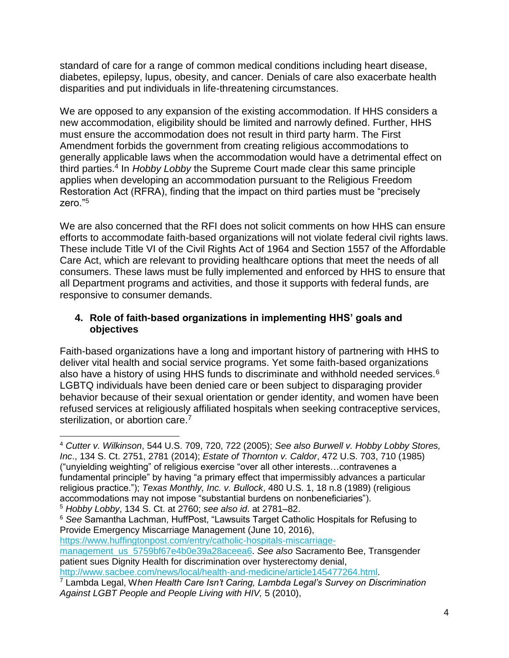standard of care for a range of common medical conditions including heart disease, diabetes, epilepsy, lupus, obesity, and cancer. Denials of care also exacerbate health disparities and put individuals in life-threatening circumstances.

We are opposed to any expansion of the existing accommodation. If HHS considers a new accommodation, eligibility should be limited and narrowly defined. Further, HHS must ensure the accommodation does not result in third party harm. The First Amendment forbids the government from creating religious accommodations to generally applicable laws when the accommodation would have a detrimental effect on third parties.<sup>4</sup> In *Hobby Lobby* the Supreme Court made clear this same principle applies when developing an accommodation pursuant to the Religious Freedom Restoration Act (RFRA), finding that the impact on third parties must be "precisely zero."<sup>5</sup>

We are also concerned that the RFI does not solicit comments on how HHS can ensure efforts to accommodate faith-based organizations will not violate federal civil rights laws. These include Title VI of the Civil Rights Act of 1964 and Section 1557 of the Affordable Care Act, which are relevant to providing healthcare options that meet the needs of all consumers. These laws must be fully implemented and enforced by HHS to ensure that all Department programs and activities, and those it supports with federal funds, are responsive to consumer demands.

## **4. Role of faith-based organizations in implementing HHS' goals and objectives**

Faith-based organizations have a long and important history of partnering with HHS to deliver vital health and social service programs. Yet some faith-based organizations also have a history of using HHS funds to discriminate and withhold needed services.<sup>6</sup> LGBTQ individuals have been denied care or been subject to disparaging provider behavior because of their sexual orientation or gender identity, and women have been refused services at religiously affiliated hospitals when seeking contraceptive services, sterilization, or abortion care.<sup>7</sup>

<sup>6</sup> *See* Samantha Lachman, HuffPost, "Lawsuits Target Catholic Hospitals for Refusing to Provide Emergency Miscarriage Management (June 10, 2016),

[https://www.huffingtonpost.com/entry/catholic-hospitals-miscarriage-](https://www.huffingtonpost.com/entry/catholic-hospitals-miscarriage-management_us_5759bf67e4b0e39a28aceea6)

[management\\_us\\_5759bf67e4b0e39a28aceea6.](https://www.huffingtonpost.com/entry/catholic-hospitals-miscarriage-management_us_5759bf67e4b0e39a28aceea6) *See also* Sacramento Bee, Transgender patient sues Dignity Health for discrimination over hysterectomy denial, [http://www.sacbee.com/news/local/health-and-medicine/article145477264.html.](http://www.sacbee.com/news/local/health-and-medicine/article145477264.html)

 $\overline{a}$ <sup>4</sup> *Cutter v. Wilkinson*, 544 U.S. 709, 720, 722 (2005); *See also Burwell v. Hobby Lobby Stores, Inc*., 134 S. Ct. 2751, 2781 (2014); *Estate of Thornton v. Caldor*, 472 U.S. 703, 710 (1985) ("unyielding weighting" of religious exercise "over all other interests…contravenes a fundamental principle" by having "a primary effect that impermissibly advances a particular religious practice."); *Texas Monthly, Inc. v. Bullock*, 480 U.S. 1, 18 n.8 (1989) (religious accommodations may not impose "substantial burdens on nonbeneficiaries").

<sup>5</sup> *Hobby Lobby*, 134 S. Ct. at 2760; *see also id*. at 2781–82.

<sup>7</sup> Lambda Legal, W*hen Health Care Isn't Caring, Lambda Legal's Survey on Discrimination Against LGBT People and People Living with HIV,* 5 (2010),